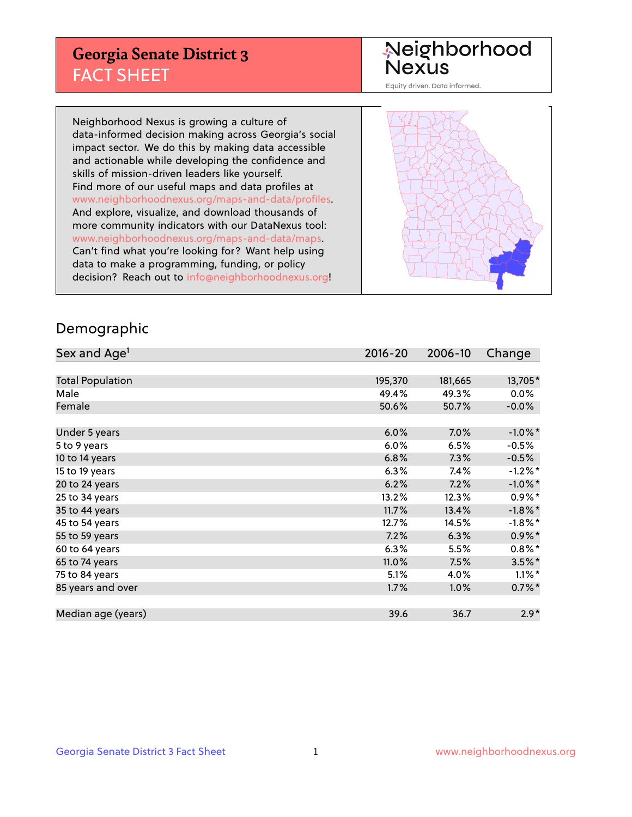## **Georgia Senate District 3** FACT SHEET

# Neighborhood<br>Nexus

Equity driven. Data informed.

Neighborhood Nexus is growing a culture of data-informed decision making across Georgia's social impact sector. We do this by making data accessible and actionable while developing the confidence and skills of mission-driven leaders like yourself. Find more of our useful maps and data profiles at www.neighborhoodnexus.org/maps-and-data/profiles. And explore, visualize, and download thousands of more community indicators with our DataNexus tool: www.neighborhoodnexus.org/maps-and-data/maps. Can't find what you're looking for? Want help using data to make a programming, funding, or policy decision? Reach out to [info@neighborhoodnexus.org!](mailto:info@neighborhoodnexus.org)



### Demographic

| Sex and Age <sup>1</sup> | $2016 - 20$ | 2006-10 | Change     |
|--------------------------|-------------|---------|------------|
|                          |             |         |            |
| <b>Total Population</b>  | 195,370     | 181,665 | 13,705*    |
| Male                     | 49.4%       | 49.3%   | $0.0\%$    |
| Female                   | 50.6%       | 50.7%   | $-0.0\%$   |
|                          |             |         |            |
| Under 5 years            | 6.0%        | $7.0\%$ | $-1.0\%$ * |
| 5 to 9 years             | 6.0%        | 6.5%    | $-0.5\%$   |
| 10 to 14 years           | 6.8%        | 7.3%    | $-0.5%$    |
| 15 to 19 years           | 6.3%        | 7.4%    | $-1.2%$ *  |
| 20 to 24 years           | 6.2%        | 7.2%    | $-1.0\%$ * |
| 25 to 34 years           | 13.2%       | 12.3%   | $0.9\%$ *  |
| 35 to 44 years           | 11.7%       | 13.4%   | $-1.8\%$ * |
| 45 to 54 years           | 12.7%       | 14.5%   | $-1.8\%$ * |
| 55 to 59 years           | 7.2%        | 6.3%    | $0.9\%$ *  |
| 60 to 64 years           | 6.3%        | 5.5%    | $0.8\%$ *  |
| 65 to 74 years           | 11.0%       | 7.5%    | $3.5\%$ *  |
| 75 to 84 years           | 5.1%        | 4.0%    | $1.1\%$ *  |
| 85 years and over        | 1.7%        | 1.0%    | $0.7\%$ *  |
|                          |             |         |            |
| Median age (years)       | 39.6        | 36.7    | $2.9*$     |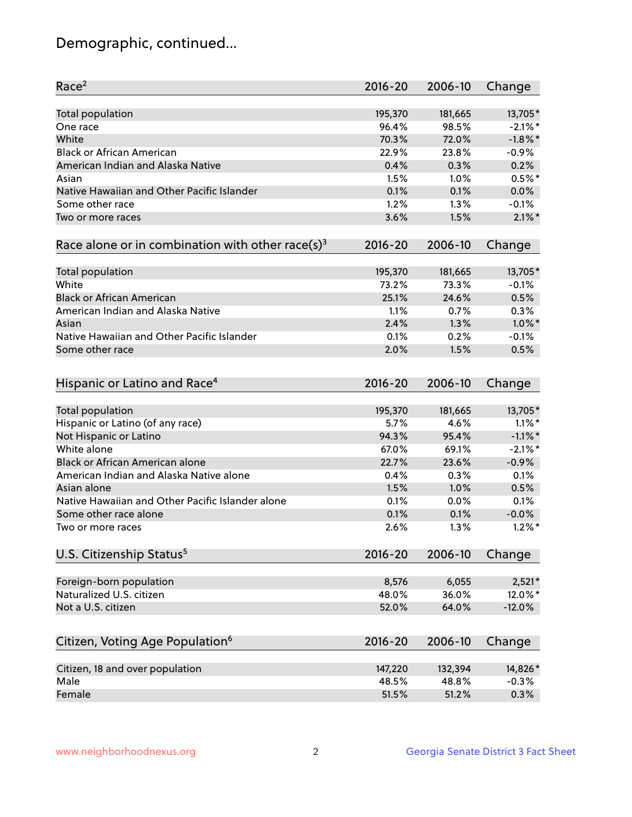## Demographic, continued...

| Race <sup>2</sup>                                            | $2016 - 20$ | 2006-10 | Change     |
|--------------------------------------------------------------|-------------|---------|------------|
| <b>Total population</b>                                      | 195,370     | 181,665 | 13,705*    |
| One race                                                     | 96.4%       | 98.5%   | $-2.1\%$ * |
| White                                                        | 70.3%       | 72.0%   | $-1.8\%$ * |
| <b>Black or African American</b>                             | 22.9%       | 23.8%   | $-0.9%$    |
| American Indian and Alaska Native                            | 0.4%        | 0.3%    | 0.2%       |
| Asian                                                        | 1.5%        | 1.0%    | $0.5%$ *   |
| Native Hawaiian and Other Pacific Islander                   | 0.1%        | 0.1%    | 0.0%       |
| Some other race                                              | 1.2%        | 1.3%    | $-0.1%$    |
| Two or more races                                            | 3.6%        | 1.5%    | $2.1\%$ *  |
| Race alone or in combination with other race(s) <sup>3</sup> | $2016 - 20$ | 2006-10 | Change     |
| Total population                                             | 195,370     | 181,665 | 13,705*    |
| White                                                        | 73.2%       | 73.3%   | $-0.1%$    |
| <b>Black or African American</b>                             | 25.1%       | 24.6%   | 0.5%       |
| American Indian and Alaska Native                            | 1.1%        | 0.7%    | 0.3%       |
| Asian                                                        | 2.4%        | 1.3%    | $1.0\%$ *  |
| Native Hawaiian and Other Pacific Islander                   | 0.1%        | 0.2%    | $-0.1%$    |
| Some other race                                              | 2.0%        | 1.5%    | 0.5%       |
|                                                              |             |         |            |
| Hispanic or Latino and Race <sup>4</sup>                     | $2016 - 20$ | 2006-10 | Change     |
| Total population                                             | 195,370     | 181,665 | 13,705*    |
| Hispanic or Latino (of any race)                             | 5.7%        | 4.6%    | $1.1\%$ *  |
| Not Hispanic or Latino                                       | 94.3%       | 95.4%   | $-1.1\%$ * |
| White alone                                                  | 67.0%       | 69.1%   | $-2.1\%$ * |
| Black or African American alone                              | 22.7%       | 23.6%   | $-0.9%$    |
| American Indian and Alaska Native alone                      | 0.4%        | 0.3%    | 0.1%       |
| Asian alone                                                  | 1.5%        | 1.0%    | 0.5%       |
| Native Hawaiian and Other Pacific Islander alone             | 0.1%        | 0.0%    | 0.1%       |
| Some other race alone                                        | 0.1%        | 0.1%    | $-0.0%$    |
| Two or more races                                            | 2.6%        | 1.3%    | $1.2\%$ *  |
| U.S. Citizenship Status <sup>5</sup>                         | $2016 - 20$ | 2006-10 | Change     |
|                                                              |             |         |            |
| Foreign-born population                                      | 8,576       | 6,055   | $2,521*$   |
| Naturalized U.S. citizen                                     | 48.0%       | 36.0%   | 12.0%*     |
| Not a U.S. citizen                                           | 52.0%       | 64.0%   | $-12.0%$   |
| Citizen, Voting Age Population <sup>6</sup>                  | 2016-20     | 2006-10 | Change     |
|                                                              |             |         |            |
| Citizen, 18 and over population                              | 147,220     | 132,394 | 14,826*    |
| Male                                                         | 48.5%       | 48.8%   | $-0.3%$    |
| Female                                                       | 51.5%       | 51.2%   | 0.3%       |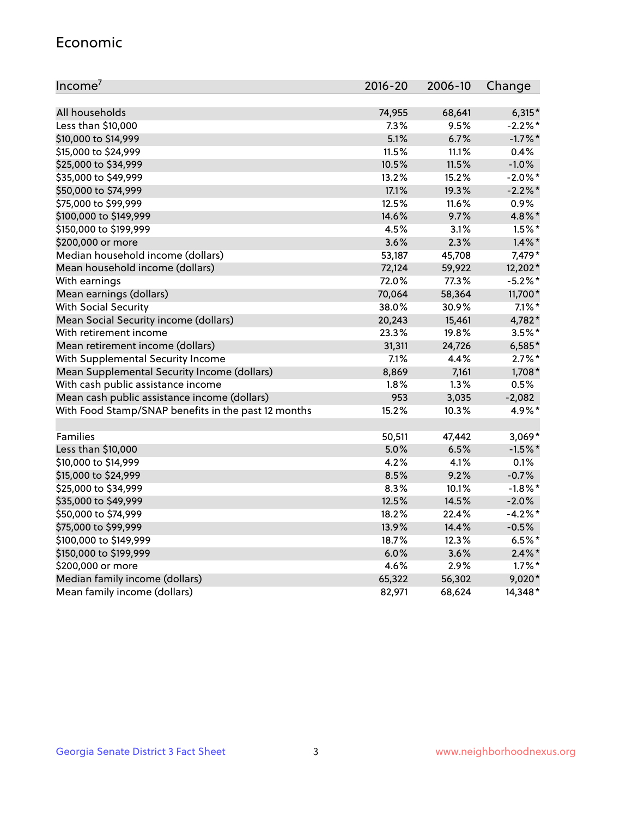#### Economic

| Income <sup>7</sup>                                 | $2016 - 20$ | 2006-10 | Change     |
|-----------------------------------------------------|-------------|---------|------------|
|                                                     |             |         |            |
| All households                                      | 74,955      | 68,641  | $6,315*$   |
| Less than \$10,000                                  | 7.3%        | 9.5%    | $-2.2%$ *  |
| \$10,000 to \$14,999                                | 5.1%        | 6.7%    | $-1.7\%$ * |
| \$15,000 to \$24,999                                | 11.5%       | 11.1%   | 0.4%       |
| \$25,000 to \$34,999                                | 10.5%       | 11.5%   | $-1.0%$    |
| \$35,000 to \$49,999                                | 13.2%       | 15.2%   | $-2.0\%$ * |
| \$50,000 to \$74,999                                | 17.1%       | 19.3%   | $-2.2\%$ * |
| \$75,000 to \$99,999                                | 12.5%       | 11.6%   | 0.9%       |
| \$100,000 to \$149,999                              | 14.6%       | 9.7%    | 4.8%*      |
| \$150,000 to \$199,999                              | 4.5%        | 3.1%    | $1.5\%$ *  |
| \$200,000 or more                                   | 3.6%        | 2.3%    | $1.4\%$ *  |
| Median household income (dollars)                   | 53,187      | 45,708  | 7,479*     |
| Mean household income (dollars)                     | 72,124      | 59,922  | 12,202*    |
| With earnings                                       | 72.0%       | 77.3%   | $-5.2%$ *  |
| Mean earnings (dollars)                             | 70,064      | 58,364  | 11,700*    |
| <b>With Social Security</b>                         | 38.0%       | 30.9%   | $7.1\%$ *  |
| Mean Social Security income (dollars)               | 20,243      | 15,461  | 4,782*     |
| With retirement income                              | 23.3%       | 19.8%   | $3.5\%$ *  |
| Mean retirement income (dollars)                    | 31,311      | 24,726  | $6,585*$   |
| With Supplemental Security Income                   | 7.1%        | 4.4%    | $2.7\%$ *  |
| Mean Supplemental Security Income (dollars)         | 8,869       | 7,161   | 1,708*     |
| With cash public assistance income                  | 1.8%        | 1.3%    | 0.5%       |
| Mean cash public assistance income (dollars)        | 953         | 3,035   | $-2,082$   |
| With Food Stamp/SNAP benefits in the past 12 months | 15.2%       | 10.3%   | 4.9%*      |
|                                                     |             |         |            |
| Families                                            | 50,511      | 47,442  | $3,069*$   |
| Less than \$10,000                                  | 5.0%        | 6.5%    | $-1.5%$ *  |
| \$10,000 to \$14,999                                | 4.2%        | 4.1%    | 0.1%       |
| \$15,000 to \$24,999                                | 8.5%        | 9.2%    | $-0.7%$    |
| \$25,000 to \$34,999                                | 8.3%        | 10.1%   | $-1.8\%$ * |
| \$35,000 to \$49,999                                | 12.5%       | 14.5%   | $-2.0%$    |
| \$50,000 to \$74,999                                | 18.2%       | 22.4%   | $-4.2%$ *  |
| \$75,000 to \$99,999                                | 13.9%       | 14.4%   | $-0.5%$    |
| \$100,000 to \$149,999                              | 18.7%       | 12.3%   | $6.5%$ *   |
| \$150,000 to \$199,999                              | 6.0%        | 3.6%    | $2.4\%$ *  |
| \$200,000 or more                                   | 4.6%        | 2.9%    | $1.7\%$ *  |
| Median family income (dollars)                      | 65,322      | 56,302  | $9,020*$   |
| Mean family income (dollars)                        | 82,971      | 68,624  | 14,348*    |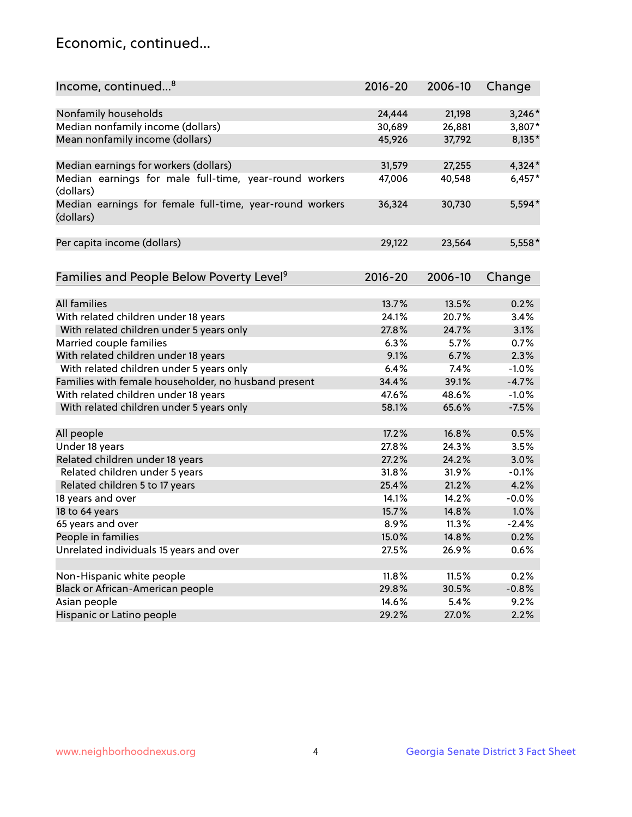## Economic, continued...

| Income, continued <sup>8</sup>                                        | $2016 - 20$ | 2006-10 | Change   |
|-----------------------------------------------------------------------|-------------|---------|----------|
|                                                                       |             |         |          |
| Nonfamily households                                                  | 24,444      | 21,198  | $3,246*$ |
| Median nonfamily income (dollars)                                     | 30,689      | 26,881  | 3,807*   |
| Mean nonfamily income (dollars)                                       | 45,926      | 37,792  | 8,135*   |
|                                                                       |             |         |          |
| Median earnings for workers (dollars)                                 | 31,579      | 27,255  | $4,324*$ |
| Median earnings for male full-time, year-round workers<br>(dollars)   | 47,006      | 40,548  | $6,457*$ |
| Median earnings for female full-time, year-round workers<br>(dollars) | 36,324      | 30,730  | 5,594*   |
| Per capita income (dollars)                                           | 29,122      | 23,564  | $5,558*$ |
|                                                                       |             |         |          |
| Families and People Below Poverty Level <sup>9</sup>                  | $2016 - 20$ | 2006-10 | Change   |
|                                                                       |             |         |          |
| <b>All families</b>                                                   | 13.7%       | 13.5%   | 0.2%     |
| With related children under 18 years                                  | 24.1%       | 20.7%   | 3.4%     |
| With related children under 5 years only                              | 27.8%       | 24.7%   | 3.1%     |
| Married couple families                                               | 6.3%        | 5.7%    | 0.7%     |
| With related children under 18 years                                  | 9.1%        | 6.7%    | 2.3%     |
| With related children under 5 years only                              | 6.4%        | 7.4%    | $-1.0%$  |
| Families with female householder, no husband present                  | 34.4%       | 39.1%   | $-4.7%$  |
| With related children under 18 years                                  | 47.6%       | 48.6%   | $-1.0%$  |
| With related children under 5 years only                              | 58.1%       | 65.6%   | $-7.5%$  |
|                                                                       |             |         |          |
| All people                                                            | 17.2%       | 16.8%   | 0.5%     |
| Under 18 years                                                        | 27.8%       | 24.3%   | 3.5%     |
| Related children under 18 years                                       | 27.2%       | 24.2%   | 3.0%     |
| Related children under 5 years                                        | 31.8%       | 31.9%   | $-0.1%$  |
| Related children 5 to 17 years                                        | 25.4%       | 21.2%   | 4.2%     |
| 18 years and over                                                     | 14.1%       | 14.2%   | $-0.0%$  |
| 18 to 64 years                                                        | 15.7%       | 14.8%   | 1.0%     |
| 65 years and over                                                     | 8.9%        | 11.3%   | $-2.4%$  |
| People in families                                                    | 15.0%       | 14.8%   | 0.2%     |
| Unrelated individuals 15 years and over                               | 27.5%       | 26.9%   | 0.6%     |
|                                                                       |             |         |          |
| Non-Hispanic white people                                             | 11.8%       | 11.5%   | 0.2%     |
| Black or African-American people                                      | 29.8%       | 30.5%   | $-0.8%$  |
| Asian people                                                          | 14.6%       | 5.4%    | 9.2%     |
| Hispanic or Latino people                                             | 29.2%       | 27.0%   | 2.2%     |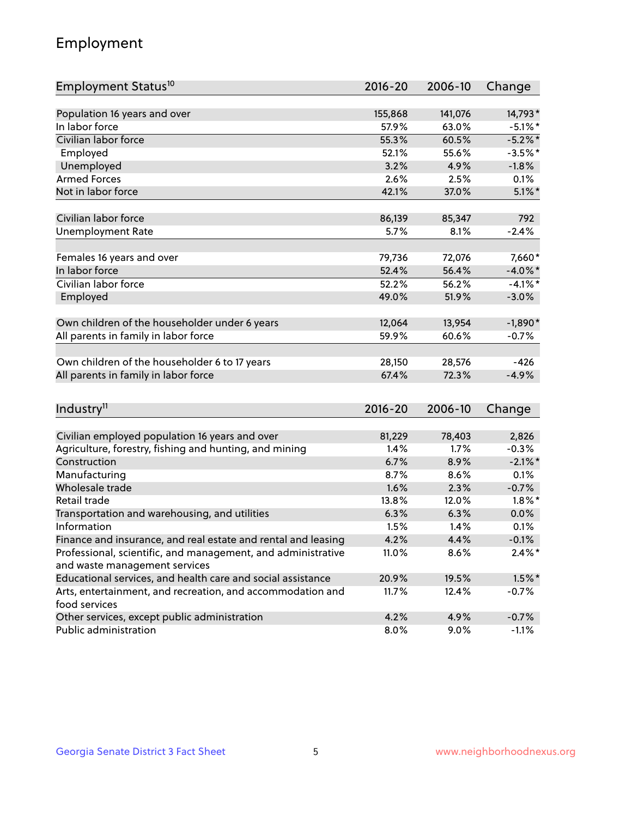## Employment

| Population 16 years and over<br>141,076<br>14,793*<br>155,868<br>In labor force<br>57.9%<br>63.0%<br>$-5.1\%$ *<br>Civilian labor force<br>55.3%<br>60.5%<br>$-5.2%$ *<br>Employed<br>52.1%<br>55.6%<br>$-3.5%$ *<br>Unemployed<br>$-1.8%$<br>3.2%<br>4.9%<br><b>Armed Forces</b><br>2.6%<br>2.5%<br>0.1%<br>Not in labor force<br>$5.1\%$ *<br>42.1%<br>37.0%<br>Civilian labor force<br>792<br>86,139<br>85,347<br>5.7%<br><b>Unemployment Rate</b><br>8.1%<br>$-2.4%$<br>Females 16 years and over<br>79,736<br>72,076<br>7,660*<br>In labor force<br>56.4%<br>$-4.0\%$ *<br>52.4%<br>Civilian labor force<br>$-4.1\%$ *<br>52.2%<br>56.2%<br>Employed<br>49.0%<br>51.9%<br>$-3.0%$<br>Own children of the householder under 6 years<br>12,064<br>13,954<br>$-1,890*$<br>59.9%<br>60.6%<br>All parents in family in labor force<br>$-0.7%$<br>Own children of the householder 6 to 17 years<br>$-426$<br>28,150<br>28,576<br>All parents in family in labor force<br>67.4%<br>72.3%<br>$-4.9%$<br>Industry <sup>11</sup><br>$2016 - 20$<br>2006-10<br>Change<br>Civilian employed population 16 years and over<br>78,403<br>2,826<br>81,229<br>Agriculture, forestry, fishing and hunting, and mining<br>$-0.3%$<br>1.4%<br>1.7%<br>$-2.1\%$ *<br>Construction<br>6.7%<br>8.9%<br>Manufacturing<br>8.7%<br>8.6%<br>0.1%<br>Wholesale trade<br>1.6%<br>$-0.7%$<br>2.3%<br>Retail trade<br>$1.8\%$ *<br>13.8%<br>12.0%<br>Transportation and warehousing, and utilities<br>6.3%<br>6.3%<br>0.0%<br>Information<br>0.1%<br>1.5%<br>1.4%<br>Finance and insurance, and real estate and rental and leasing<br>4.2%<br>4.4%<br>$-0.1%$<br>Professional, scientific, and management, and administrative<br>$2.4\%$ *<br>11.0%<br>8.6%<br>and waste management services<br>Educational services, and health care and social assistance<br>20.9%<br>19.5%<br>$1.5\%$ * | Employment Status <sup>10</sup>                                             | 2016-20 | 2006-10 | Change  |
|------------------------------------------------------------------------------------------------------------------------------------------------------------------------------------------------------------------------------------------------------------------------------------------------------------------------------------------------------------------------------------------------------------------------------------------------------------------------------------------------------------------------------------------------------------------------------------------------------------------------------------------------------------------------------------------------------------------------------------------------------------------------------------------------------------------------------------------------------------------------------------------------------------------------------------------------------------------------------------------------------------------------------------------------------------------------------------------------------------------------------------------------------------------------------------------------------------------------------------------------------------------------------------------------------------------------------------------------------------------------------------------------------------------------------------------------------------------------------------------------------------------------------------------------------------------------------------------------------------------------------------------------------------------------------------------------------------------------------------------------------------------------------------------------------------------------------------------------------------------|-----------------------------------------------------------------------------|---------|---------|---------|
|                                                                                                                                                                                                                                                                                                                                                                                                                                                                                                                                                                                                                                                                                                                                                                                                                                                                                                                                                                                                                                                                                                                                                                                                                                                                                                                                                                                                                                                                                                                                                                                                                                                                                                                                                                                                                                                                  |                                                                             |         |         |         |
|                                                                                                                                                                                                                                                                                                                                                                                                                                                                                                                                                                                                                                                                                                                                                                                                                                                                                                                                                                                                                                                                                                                                                                                                                                                                                                                                                                                                                                                                                                                                                                                                                                                                                                                                                                                                                                                                  |                                                                             |         |         |         |
|                                                                                                                                                                                                                                                                                                                                                                                                                                                                                                                                                                                                                                                                                                                                                                                                                                                                                                                                                                                                                                                                                                                                                                                                                                                                                                                                                                                                                                                                                                                                                                                                                                                                                                                                                                                                                                                                  |                                                                             |         |         |         |
|                                                                                                                                                                                                                                                                                                                                                                                                                                                                                                                                                                                                                                                                                                                                                                                                                                                                                                                                                                                                                                                                                                                                                                                                                                                                                                                                                                                                                                                                                                                                                                                                                                                                                                                                                                                                                                                                  |                                                                             |         |         |         |
|                                                                                                                                                                                                                                                                                                                                                                                                                                                                                                                                                                                                                                                                                                                                                                                                                                                                                                                                                                                                                                                                                                                                                                                                                                                                                                                                                                                                                                                                                                                                                                                                                                                                                                                                                                                                                                                                  |                                                                             |         |         |         |
|                                                                                                                                                                                                                                                                                                                                                                                                                                                                                                                                                                                                                                                                                                                                                                                                                                                                                                                                                                                                                                                                                                                                                                                                                                                                                                                                                                                                                                                                                                                                                                                                                                                                                                                                                                                                                                                                  |                                                                             |         |         |         |
|                                                                                                                                                                                                                                                                                                                                                                                                                                                                                                                                                                                                                                                                                                                                                                                                                                                                                                                                                                                                                                                                                                                                                                                                                                                                                                                                                                                                                                                                                                                                                                                                                                                                                                                                                                                                                                                                  |                                                                             |         |         |         |
|                                                                                                                                                                                                                                                                                                                                                                                                                                                                                                                                                                                                                                                                                                                                                                                                                                                                                                                                                                                                                                                                                                                                                                                                                                                                                                                                                                                                                                                                                                                                                                                                                                                                                                                                                                                                                                                                  |                                                                             |         |         |         |
|                                                                                                                                                                                                                                                                                                                                                                                                                                                                                                                                                                                                                                                                                                                                                                                                                                                                                                                                                                                                                                                                                                                                                                                                                                                                                                                                                                                                                                                                                                                                                                                                                                                                                                                                                                                                                                                                  |                                                                             |         |         |         |
|                                                                                                                                                                                                                                                                                                                                                                                                                                                                                                                                                                                                                                                                                                                                                                                                                                                                                                                                                                                                                                                                                                                                                                                                                                                                                                                                                                                                                                                                                                                                                                                                                                                                                                                                                                                                                                                                  |                                                                             |         |         |         |
|                                                                                                                                                                                                                                                                                                                                                                                                                                                                                                                                                                                                                                                                                                                                                                                                                                                                                                                                                                                                                                                                                                                                                                                                                                                                                                                                                                                                                                                                                                                                                                                                                                                                                                                                                                                                                                                                  |                                                                             |         |         |         |
|                                                                                                                                                                                                                                                                                                                                                                                                                                                                                                                                                                                                                                                                                                                                                                                                                                                                                                                                                                                                                                                                                                                                                                                                                                                                                                                                                                                                                                                                                                                                                                                                                                                                                                                                                                                                                                                                  |                                                                             |         |         |         |
|                                                                                                                                                                                                                                                                                                                                                                                                                                                                                                                                                                                                                                                                                                                                                                                                                                                                                                                                                                                                                                                                                                                                                                                                                                                                                                                                                                                                                                                                                                                                                                                                                                                                                                                                                                                                                                                                  |                                                                             |         |         |         |
|                                                                                                                                                                                                                                                                                                                                                                                                                                                                                                                                                                                                                                                                                                                                                                                                                                                                                                                                                                                                                                                                                                                                                                                                                                                                                                                                                                                                                                                                                                                                                                                                                                                                                                                                                                                                                                                                  |                                                                             |         |         |         |
|                                                                                                                                                                                                                                                                                                                                                                                                                                                                                                                                                                                                                                                                                                                                                                                                                                                                                                                                                                                                                                                                                                                                                                                                                                                                                                                                                                                                                                                                                                                                                                                                                                                                                                                                                                                                                                                                  |                                                                             |         |         |         |
|                                                                                                                                                                                                                                                                                                                                                                                                                                                                                                                                                                                                                                                                                                                                                                                                                                                                                                                                                                                                                                                                                                                                                                                                                                                                                                                                                                                                                                                                                                                                                                                                                                                                                                                                                                                                                                                                  |                                                                             |         |         |         |
|                                                                                                                                                                                                                                                                                                                                                                                                                                                                                                                                                                                                                                                                                                                                                                                                                                                                                                                                                                                                                                                                                                                                                                                                                                                                                                                                                                                                                                                                                                                                                                                                                                                                                                                                                                                                                                                                  |                                                                             |         |         |         |
|                                                                                                                                                                                                                                                                                                                                                                                                                                                                                                                                                                                                                                                                                                                                                                                                                                                                                                                                                                                                                                                                                                                                                                                                                                                                                                                                                                                                                                                                                                                                                                                                                                                                                                                                                                                                                                                                  |                                                                             |         |         |         |
|                                                                                                                                                                                                                                                                                                                                                                                                                                                                                                                                                                                                                                                                                                                                                                                                                                                                                                                                                                                                                                                                                                                                                                                                                                                                                                                                                                                                                                                                                                                                                                                                                                                                                                                                                                                                                                                                  |                                                                             |         |         |         |
|                                                                                                                                                                                                                                                                                                                                                                                                                                                                                                                                                                                                                                                                                                                                                                                                                                                                                                                                                                                                                                                                                                                                                                                                                                                                                                                                                                                                                                                                                                                                                                                                                                                                                                                                                                                                                                                                  |                                                                             |         |         |         |
|                                                                                                                                                                                                                                                                                                                                                                                                                                                                                                                                                                                                                                                                                                                                                                                                                                                                                                                                                                                                                                                                                                                                                                                                                                                                                                                                                                                                                                                                                                                                                                                                                                                                                                                                                                                                                                                                  |                                                                             |         |         |         |
|                                                                                                                                                                                                                                                                                                                                                                                                                                                                                                                                                                                                                                                                                                                                                                                                                                                                                                                                                                                                                                                                                                                                                                                                                                                                                                                                                                                                                                                                                                                                                                                                                                                                                                                                                                                                                                                                  |                                                                             |         |         |         |
|                                                                                                                                                                                                                                                                                                                                                                                                                                                                                                                                                                                                                                                                                                                                                                                                                                                                                                                                                                                                                                                                                                                                                                                                                                                                                                                                                                                                                                                                                                                                                                                                                                                                                                                                                                                                                                                                  |                                                                             |         |         |         |
|                                                                                                                                                                                                                                                                                                                                                                                                                                                                                                                                                                                                                                                                                                                                                                                                                                                                                                                                                                                                                                                                                                                                                                                                                                                                                                                                                                                                                                                                                                                                                                                                                                                                                                                                                                                                                                                                  |                                                                             |         |         |         |
|                                                                                                                                                                                                                                                                                                                                                                                                                                                                                                                                                                                                                                                                                                                                                                                                                                                                                                                                                                                                                                                                                                                                                                                                                                                                                                                                                                                                                                                                                                                                                                                                                                                                                                                                                                                                                                                                  |                                                                             |         |         |         |
|                                                                                                                                                                                                                                                                                                                                                                                                                                                                                                                                                                                                                                                                                                                                                                                                                                                                                                                                                                                                                                                                                                                                                                                                                                                                                                                                                                                                                                                                                                                                                                                                                                                                                                                                                                                                                                                                  |                                                                             |         |         |         |
|                                                                                                                                                                                                                                                                                                                                                                                                                                                                                                                                                                                                                                                                                                                                                                                                                                                                                                                                                                                                                                                                                                                                                                                                                                                                                                                                                                                                                                                                                                                                                                                                                                                                                                                                                                                                                                                                  |                                                                             |         |         |         |
|                                                                                                                                                                                                                                                                                                                                                                                                                                                                                                                                                                                                                                                                                                                                                                                                                                                                                                                                                                                                                                                                                                                                                                                                                                                                                                                                                                                                                                                                                                                                                                                                                                                                                                                                                                                                                                                                  |                                                                             |         |         |         |
|                                                                                                                                                                                                                                                                                                                                                                                                                                                                                                                                                                                                                                                                                                                                                                                                                                                                                                                                                                                                                                                                                                                                                                                                                                                                                                                                                                                                                                                                                                                                                                                                                                                                                                                                                                                                                                                                  |                                                                             |         |         |         |
|                                                                                                                                                                                                                                                                                                                                                                                                                                                                                                                                                                                                                                                                                                                                                                                                                                                                                                                                                                                                                                                                                                                                                                                                                                                                                                                                                                                                                                                                                                                                                                                                                                                                                                                                                                                                                                                                  |                                                                             |         |         |         |
|                                                                                                                                                                                                                                                                                                                                                                                                                                                                                                                                                                                                                                                                                                                                                                                                                                                                                                                                                                                                                                                                                                                                                                                                                                                                                                                                                                                                                                                                                                                                                                                                                                                                                                                                                                                                                                                                  |                                                                             |         |         |         |
|                                                                                                                                                                                                                                                                                                                                                                                                                                                                                                                                                                                                                                                                                                                                                                                                                                                                                                                                                                                                                                                                                                                                                                                                                                                                                                                                                                                                                                                                                                                                                                                                                                                                                                                                                                                                                                                                  |                                                                             |         |         |         |
|                                                                                                                                                                                                                                                                                                                                                                                                                                                                                                                                                                                                                                                                                                                                                                                                                                                                                                                                                                                                                                                                                                                                                                                                                                                                                                                                                                                                                                                                                                                                                                                                                                                                                                                                                                                                                                                                  |                                                                             |         |         |         |
|                                                                                                                                                                                                                                                                                                                                                                                                                                                                                                                                                                                                                                                                                                                                                                                                                                                                                                                                                                                                                                                                                                                                                                                                                                                                                                                                                                                                                                                                                                                                                                                                                                                                                                                                                                                                                                                                  |                                                                             |         |         |         |
|                                                                                                                                                                                                                                                                                                                                                                                                                                                                                                                                                                                                                                                                                                                                                                                                                                                                                                                                                                                                                                                                                                                                                                                                                                                                                                                                                                                                                                                                                                                                                                                                                                                                                                                                                                                                                                                                  |                                                                             |         |         |         |
|                                                                                                                                                                                                                                                                                                                                                                                                                                                                                                                                                                                                                                                                                                                                                                                                                                                                                                                                                                                                                                                                                                                                                                                                                                                                                                                                                                                                                                                                                                                                                                                                                                                                                                                                                                                                                                                                  |                                                                             |         |         |         |
|                                                                                                                                                                                                                                                                                                                                                                                                                                                                                                                                                                                                                                                                                                                                                                                                                                                                                                                                                                                                                                                                                                                                                                                                                                                                                                                                                                                                                                                                                                                                                                                                                                                                                                                                                                                                                                                                  | Arts, entertainment, and recreation, and accommodation and<br>food services | 11.7%   | 12.4%   | $-0.7%$ |
| 4.2%<br>Other services, except public administration<br>4.9%<br>$-0.7%$                                                                                                                                                                                                                                                                                                                                                                                                                                                                                                                                                                                                                                                                                                                                                                                                                                                                                                                                                                                                                                                                                                                                                                                                                                                                                                                                                                                                                                                                                                                                                                                                                                                                                                                                                                                          |                                                                             |         |         |         |
| Public administration<br>8.0%<br>9.0%<br>$-1.1%$                                                                                                                                                                                                                                                                                                                                                                                                                                                                                                                                                                                                                                                                                                                                                                                                                                                                                                                                                                                                                                                                                                                                                                                                                                                                                                                                                                                                                                                                                                                                                                                                                                                                                                                                                                                                                 |                                                                             |         |         |         |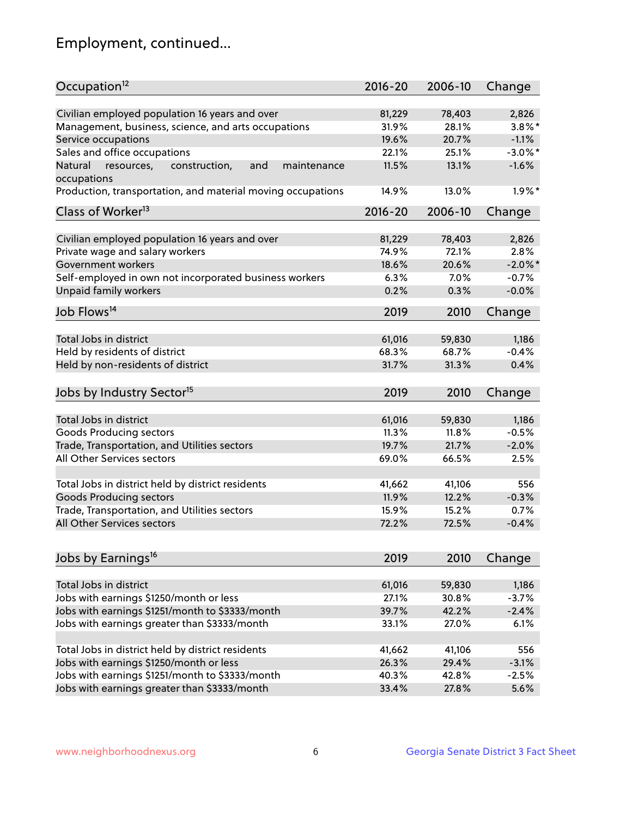## Employment, continued...

| Occupation <sup>12</sup>                                     | $2016 - 20$ | 2006-10 | Change     |
|--------------------------------------------------------------|-------------|---------|------------|
|                                                              |             |         |            |
| Civilian employed population 16 years and over               | 81,229      | 78,403  | 2,826      |
| Management, business, science, and arts occupations          | 31.9%       | 28.1%   | $3.8\%$ *  |
| Service occupations                                          | 19.6%       | 20.7%   | $-1.1%$    |
| Sales and office occupations                                 | 22.1%       | 25.1%   | $-3.0\%$ * |
| Natural<br>construction,<br>and<br>resources,<br>maintenance | 11.5%       | 13.1%   | $-1.6%$    |
| occupations                                                  |             |         |            |
| Production, transportation, and material moving occupations  | 14.9%       | 13.0%   | $1.9\%$ *  |
| Class of Worker <sup>13</sup>                                | $2016 - 20$ | 2006-10 | Change     |
|                                                              |             |         |            |
| Civilian employed population 16 years and over               | 81,229      | 78,403  | 2,826      |
| Private wage and salary workers                              | 74.9%       | 72.1%   | 2.8%       |
| Government workers                                           | 18.6%       | 20.6%   | $-2.0\%$ * |
| Self-employed in own not incorporated business workers       | 6.3%        | 7.0%    | $-0.7%$    |
| Unpaid family workers                                        | 0.2%        | 0.3%    | $-0.0%$    |
| Job Flows <sup>14</sup>                                      | 2019        | 2010    | Change     |
|                                                              |             |         |            |
| Total Jobs in district                                       | 61,016      | 59,830  | 1,186      |
| Held by residents of district                                | 68.3%       | 68.7%   | $-0.4%$    |
| Held by non-residents of district                            | 31.7%       | 31.3%   | 0.4%       |
|                                                              |             |         |            |
| Jobs by Industry Sector <sup>15</sup>                        | 2019        | 2010    | Change     |
| Total Jobs in district                                       | 61,016      | 59,830  | 1,186      |
| Goods Producing sectors                                      | 11.3%       | 11.8%   | $-0.5%$    |
| Trade, Transportation, and Utilities sectors                 | 19.7%       | 21.7%   | $-2.0%$    |
| All Other Services sectors                                   | 69.0%       | 66.5%   | 2.5%       |
|                                                              |             |         |            |
| Total Jobs in district held by district residents            | 41,662      | 41,106  | 556        |
| <b>Goods Producing sectors</b>                               | 11.9%       | 12.2%   | $-0.3%$    |
| Trade, Transportation, and Utilities sectors                 | 15.9%       | 15.2%   | 0.7%       |
| All Other Services sectors                                   | 72.2%       | 72.5%   | $-0.4%$    |
|                                                              |             |         |            |
| Jobs by Earnings <sup>16</sup>                               | 2019        | 2010    | Change     |
|                                                              |             |         |            |
| Total Jobs in district                                       | 61,016      | 59,830  | 1,186      |
| Jobs with earnings \$1250/month or less                      | 27.1%       | 30.8%   | $-3.7%$    |
| Jobs with earnings \$1251/month to \$3333/month              | 39.7%       | 42.2%   | $-2.4%$    |
| Jobs with earnings greater than \$3333/month                 | 33.1%       | 27.0%   | 6.1%       |
|                                                              |             |         |            |
| Total Jobs in district held by district residents            | 41,662      | 41,106  | 556        |
| Jobs with earnings \$1250/month or less                      | 26.3%       | 29.4%   | $-3.1%$    |
| Jobs with earnings \$1251/month to \$3333/month              | 40.3%       | 42.8%   | $-2.5%$    |
| Jobs with earnings greater than \$3333/month                 | 33.4%       | 27.8%   | 5.6%       |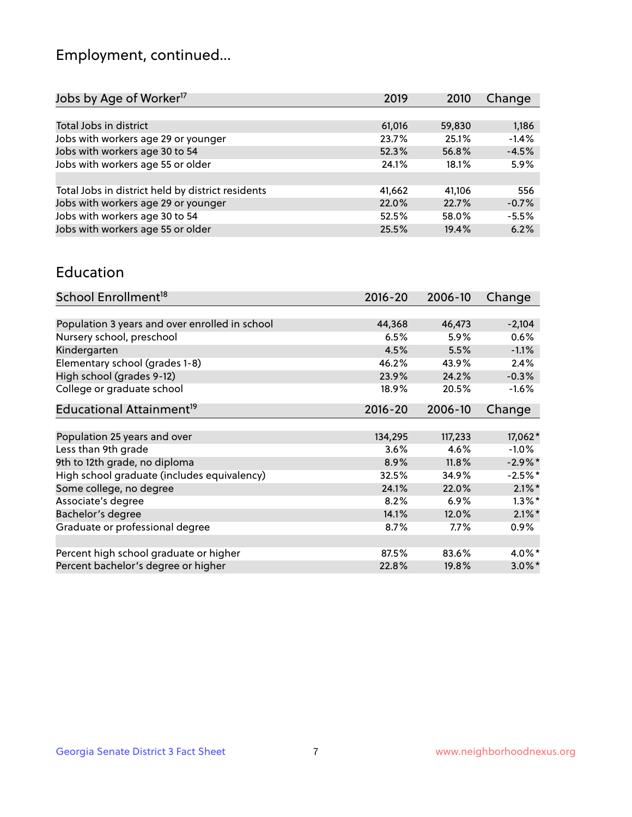## Employment, continued...

| Jobs by Age of Worker <sup>17</sup>               | 2019   | 2010   | Change  |
|---------------------------------------------------|--------|--------|---------|
|                                                   |        |        |         |
| Total Jobs in district                            | 61,016 | 59,830 | 1,186   |
| Jobs with workers age 29 or younger               | 23.7%  | 25.1%  | $-1.4%$ |
| Jobs with workers age 30 to 54                    | 52.3%  | 56.8%  | $-4.5%$ |
| Jobs with workers age 55 or older                 | 24.1%  | 18.1%  | 5.9%    |
|                                                   |        |        |         |
| Total Jobs in district held by district residents | 41,662 | 41,106 | 556     |
| Jobs with workers age 29 or younger               | 22.0%  | 22.7%  | $-0.7%$ |
| Jobs with workers age 30 to 54                    | 52.5%  | 58.0%  | $-5.5%$ |
| Jobs with workers age 55 or older                 | 25.5%  | 19.4%  | 6.2%    |
|                                                   |        |        |         |

#### Education

| School Enrollment <sup>18</sup>                | $2016 - 20$ | 2006-10 | Change     |
|------------------------------------------------|-------------|---------|------------|
|                                                |             |         |            |
| Population 3 years and over enrolled in school | 44,368      | 46,473  | $-2,104$   |
| Nursery school, preschool                      | 6.5%        | 5.9%    | $0.6\%$    |
| Kindergarten                                   | 4.5%        | 5.5%    | $-1.1%$    |
| Elementary school (grades 1-8)                 | 46.2%       | 43.9%   | 2.4%       |
| High school (grades 9-12)                      | 23.9%       | 24.2%   | $-0.3%$    |
| College or graduate school                     | 18.9%       | 20.5%   | $-1.6%$    |
| Educational Attainment <sup>19</sup>           | $2016 - 20$ | 2006-10 | Change     |
|                                                |             |         |            |
| Population 25 years and over                   | 134,295     | 117,233 | 17,062*    |
| Less than 9th grade                            | 3.6%        | 4.6%    | $-1.0%$    |
| 9th to 12th grade, no diploma                  | 8.9%        | 11.8%   | $-2.9\%$ * |
| High school graduate (includes equivalency)    | 32.5%       | 34.9%   | $-2.5%$ *  |
| Some college, no degree                        | 24.1%       | 22.0%   | $2.1\%$ *  |
| Associate's degree                             | 8.2%        | 6.9%    | $1.3\%$ *  |
| Bachelor's degree                              | 14.1%       | 12.0%   | $2.1\%$ *  |
| Graduate or professional degree                | 8.7%        | 7.7%    | $0.9\%$    |
|                                                |             |         |            |
| Percent high school graduate or higher         | 87.5%       | 83.6%   | 4.0%*      |
| Percent bachelor's degree or higher            | 22.8%       | 19.8%   | $3.0\%$ *  |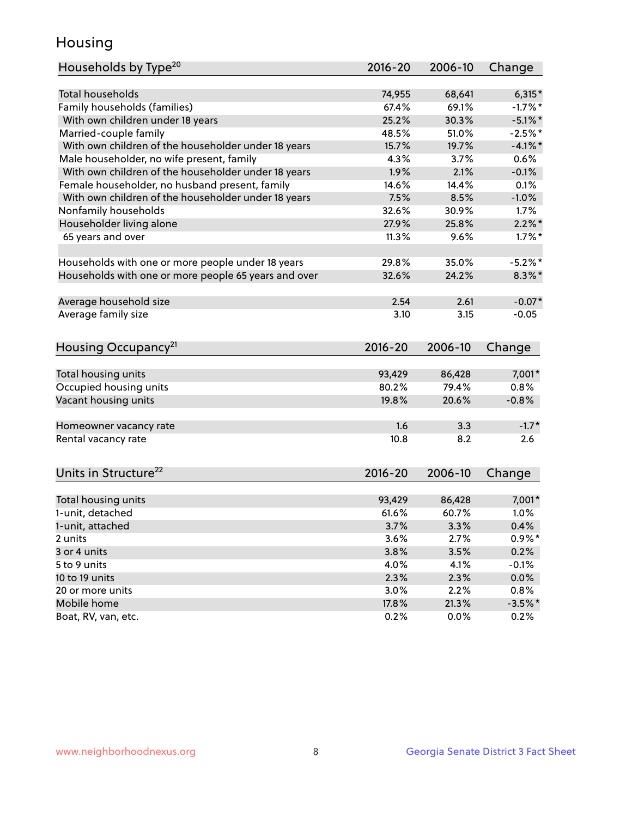## Housing

| Households by Type <sup>20</sup>                     | 2016-20       | 2006-10       | Change            |
|------------------------------------------------------|---------------|---------------|-------------------|
|                                                      |               |               |                   |
| <b>Total households</b>                              | 74,955        | 68,641        | $6,315*$          |
| Family households (families)                         | 67.4%         | 69.1%         | $-1.7%$ *         |
| With own children under 18 years                     | 25.2%         | 30.3%         | $-5.1\%$ *        |
| Married-couple family                                | 48.5%         | 51.0%         | $-2.5%$ *         |
| With own children of the householder under 18 years  | 15.7%         | 19.7%         | $-4.1%$ *         |
| Male householder, no wife present, family            | 4.3%          | 3.7%          | 0.6%              |
| With own children of the householder under 18 years  | 1.9%          | 2.1%          | $-0.1%$           |
| Female householder, no husband present, family       | 14.6%         | 14.4%         | 0.1%              |
| With own children of the householder under 18 years  | 7.5%          | 8.5%          | $-1.0%$           |
| Nonfamily households                                 | 32.6%         | 30.9%         | $1.7\%$           |
| Householder living alone                             | 27.9%         | 25.8%         | $2.2\%$ *         |
| 65 years and over                                    | 11.3%         | 9.6%          | $1.7\%$ *         |
|                                                      |               |               |                   |
| Households with one or more people under 18 years    | 29.8%         | 35.0%         | $-5.2%$           |
| Households with one or more people 65 years and over | 32.6%         | 24.2%         | $8.3\%$ *         |
|                                                      |               |               |                   |
| Average household size                               | 2.54          | 2.61          | $-0.07*$          |
| Average family size                                  | 3.10          | 3.15          | $-0.05$           |
| Housing Occupancy <sup>21</sup>                      | 2016-20       | 2006-10       | Change            |
| Total housing units                                  | 93,429        | 86,428        | 7,001*            |
| Occupied housing units                               | 80.2%         | 79.4%         | 0.8%              |
| Vacant housing units                                 | 19.8%         | 20.6%         | $-0.8%$           |
|                                                      |               |               |                   |
| Homeowner vacancy rate                               | 1.6           | 3.3           | $-1.7*$           |
| Rental vacancy rate                                  | 10.8          | 8.2           | 2.6               |
|                                                      |               |               |                   |
| Units in Structure <sup>22</sup>                     | 2016-20       | 2006-10       | Change            |
| Total housing units                                  | 93,429        | 86,428        | 7,001*            |
| 1-unit, detached                                     | 61.6%         | 60.7%         | 1.0%              |
|                                                      |               |               |                   |
| 1-unit, attached<br>2 units                          | 3.7%<br>3.6%  | 3.3%<br>2.7%  | 0.4%<br>$0.9%$ *  |
| 3 or 4 units                                         |               |               | 0.2%              |
| 5 to 9 units                                         | 3.8%<br>4.0%  | 3.5%          | $-0.1%$           |
|                                                      |               | 4.1%          |                   |
| 10 to 19 units                                       | 2.3%          | 2.3%          | 0.0%              |
| 20 or more units<br>Mobile home                      | 3.0%<br>17.8% | 2.2%<br>21.3% | 0.8%<br>$-3.5%$ * |
| Boat, RV, van, etc.                                  | 0.2%          | 0.0%          | 0.2%              |
|                                                      |               |               |                   |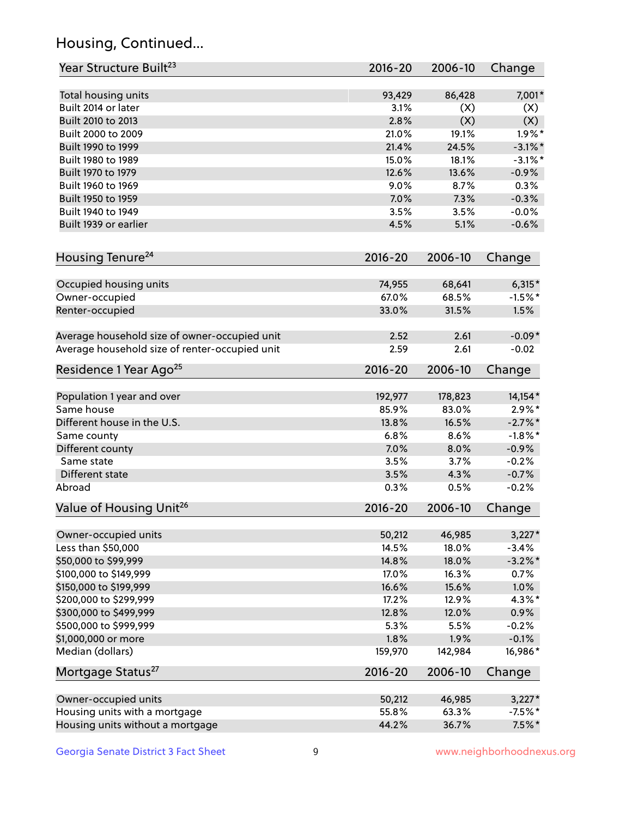## Housing, Continued...

| Year Structure Built <sup>23</sup>             | 2016-20     | 2006-10 | Change     |
|------------------------------------------------|-------------|---------|------------|
| Total housing units                            | 93,429      | 86,428  | 7,001*     |
| Built 2014 or later                            | 3.1%        | (X)     | (X)        |
| Built 2010 to 2013                             | 2.8%        | (X)     | (X)        |
| Built 2000 to 2009                             | 21.0%       | 19.1%   | $1.9\%$ *  |
| Built 1990 to 1999                             | 21.4%       | 24.5%   | $-3.1\%$ * |
| Built 1980 to 1989                             | 15.0%       | 18.1%   | $-3.1\%$ * |
| Built 1970 to 1979                             | 12.6%       | 13.6%   | $-0.9%$    |
| Built 1960 to 1969                             | 9.0%        | 8.7%    | 0.3%       |
| Built 1950 to 1959                             | 7.0%        | 7.3%    | $-0.3%$    |
| Built 1940 to 1949                             | 3.5%        | 3.5%    | $-0.0%$    |
| Built 1939 or earlier                          | 4.5%        | 5.1%    | $-0.6%$    |
| Housing Tenure <sup>24</sup>                   | $2016 - 20$ | 2006-10 | Change     |
| Occupied housing units                         | 74,955      | 68,641  | $6,315*$   |
| Owner-occupied                                 | 67.0%       | 68.5%   | $-1.5%$ *  |
| Renter-occupied                                | 33.0%       | 31.5%   | 1.5%       |
| Average household size of owner-occupied unit  | 2.52        | 2.61    | $-0.09*$   |
| Average household size of renter-occupied unit | 2.59        | 2.61    | $-0.02$    |
| Residence 1 Year Ago <sup>25</sup>             | $2016 - 20$ | 2006-10 | Change     |
| Population 1 year and over                     | 192,977     | 178,823 | 14,154*    |
| Same house                                     | 85.9%       | 83.0%   | $2.9\%*$   |
| Different house in the U.S.                    | 13.8%       | 16.5%   | $-2.7\%$ * |
| Same county                                    | 6.8%        | 8.6%    | $-1.8\%$ * |
| Different county                               | 7.0%        | 8.0%    | $-0.9%$    |
| Same state                                     | 3.5%        | 3.7%    | $-0.2%$    |
| Different state                                | 3.5%        | 4.3%    | $-0.7%$    |
| Abroad                                         | 0.3%        | 0.5%    | $-0.2%$    |
| Value of Housing Unit <sup>26</sup>            | $2016 - 20$ | 2006-10 | Change     |
| Owner-occupied units                           | 50,212      | 46,985  | $3,227*$   |
| Less than \$50,000                             | 14.5%       | 18.0%   | $-3.4%$    |
| \$50,000 to \$99,999                           | 14.8%       | 18.0%   | $-3.2\%$ * |
| \$100,000 to \$149,999                         | 17.0%       | 16.3%   | 0.7%       |
| \$150,000 to \$199,999                         | 16.6%       | 15.6%   | 1.0%       |
| \$200,000 to \$299,999                         | 17.2%       | 12.9%   | 4.3%*      |
| \$300,000 to \$499,999                         | 12.8%       | 12.0%   | 0.9%       |
| \$500,000 to \$999,999                         | 5.3%        | 5.5%    | $-0.2%$    |
| \$1,000,000 or more                            | 1.8%        | 1.9%    | $-0.1%$    |
| Median (dollars)                               | 159,970     | 142,984 | 16,986*    |
| Mortgage Status <sup>27</sup>                  | $2016 - 20$ | 2006-10 | Change     |
| Owner-occupied units                           | 50,212      | 46,985  | $3,227*$   |
| Housing units with a mortgage                  | 55.8%       | 63.3%   | $-7.5%$ *  |
| Housing units without a mortgage               | 44.2%       | 36.7%   | $7.5\%$ *  |
|                                                |             |         |            |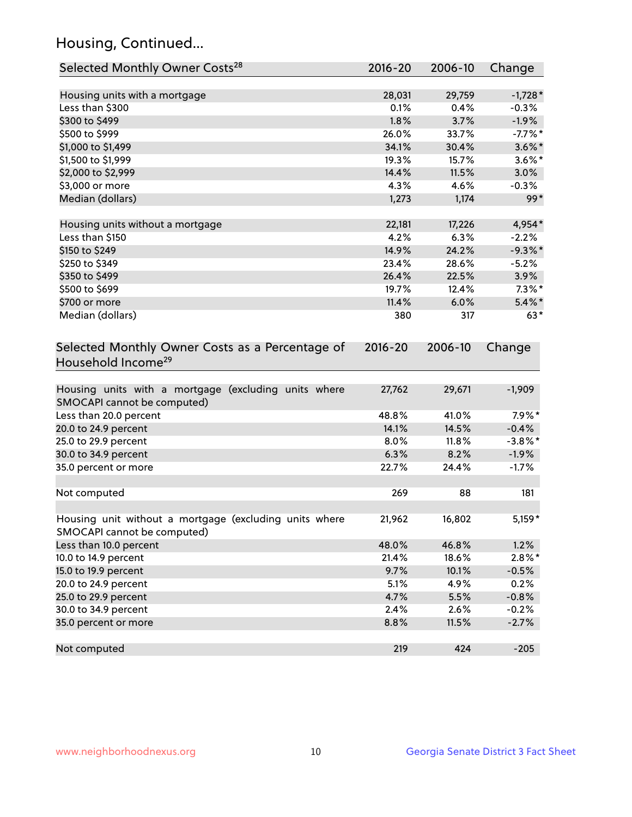## Housing, Continued...

| Selected Monthly Owner Costs <sup>28</sup>                                            | 2016-20     | 2006-10 | Change     |
|---------------------------------------------------------------------------------------|-------------|---------|------------|
| Housing units with a mortgage                                                         | 28,031      | 29,759  | $-1,728*$  |
| Less than \$300                                                                       | 0.1%        | 0.4%    | $-0.3%$    |
| \$300 to \$499                                                                        | 1.8%        | 3.7%    | $-1.9%$    |
| \$500 to \$999                                                                        | 26.0%       | 33.7%   | $-7.7%$ *  |
| \$1,000 to \$1,499                                                                    | 34.1%       | 30.4%   | $3.6\%$ *  |
| \$1,500 to \$1,999                                                                    | 19.3%       | 15.7%   | $3.6\%$ *  |
| \$2,000 to \$2,999                                                                    | 14.4%       | 11.5%   | 3.0%       |
| \$3,000 or more                                                                       | 4.3%        | 4.6%    | $-0.3%$    |
| Median (dollars)                                                                      | 1,273       | 1,174   | $99*$      |
| Housing units without a mortgage                                                      | 22,181      | 17,226  | 4,954*     |
| Less than \$150                                                                       | 4.2%        | 6.3%    | $-2.2%$    |
| \$150 to \$249                                                                        | 14.9%       | 24.2%   | $-9.3\%$ * |
| \$250 to \$349                                                                        | 23.4%       | 28.6%   | $-5.2%$    |
| \$350 to \$499                                                                        | 26.4%       | 22.5%   | 3.9%       |
| \$500 to \$699                                                                        | 19.7%       | 12.4%   | $7.3\%$ *  |
| \$700 or more                                                                         | 11.4%       | 6.0%    | $5.4\%$ *  |
| Median (dollars)                                                                      | 380         | 317     | $63*$      |
| Selected Monthly Owner Costs as a Percentage of<br>Household Income <sup>29</sup>     | $2016 - 20$ | 2006-10 | Change     |
| Housing units with a mortgage (excluding units where<br>SMOCAPI cannot be computed)   | 27,762      | 29,671  | $-1,909$   |
| Less than 20.0 percent                                                                | 48.8%       | 41.0%   | $7.9\%*$   |
| 20.0 to 24.9 percent                                                                  | 14.1%       | 14.5%   | $-0.4%$    |
| 25.0 to 29.9 percent                                                                  | 8.0%        | 11.8%   | $-3.8\%$ * |
| 30.0 to 34.9 percent                                                                  | 6.3%        | 8.2%    | $-1.9%$    |
| 35.0 percent or more                                                                  | 22.7%       | 24.4%   | $-1.7%$    |
| Not computed                                                                          | 269         | 88      | 181        |
| Housing unit without a mortgage (excluding units where<br>SMOCAPI cannot be computed) | 21,962      | 16,802  | $5,159*$   |
| Less than 10.0 percent                                                                | 48.0%       | 46.8%   | 1.2%       |
| 10.0 to 14.9 percent                                                                  | 21.4%       | 18.6%   | $2.8\%$ *  |
| 15.0 to 19.9 percent                                                                  | 9.7%        | 10.1%   | $-0.5%$    |
| 20.0 to 24.9 percent                                                                  | 5.1%        | 4.9%    | 0.2%       |
| 25.0 to 29.9 percent                                                                  | 4.7%        | 5.5%    | $-0.8%$    |
| 30.0 to 34.9 percent                                                                  | 2.4%        | 2.6%    | $-0.2%$    |
| 35.0 percent or more                                                                  | 8.8%        | 11.5%   | $-2.7%$    |
| Not computed                                                                          | 219         | 424     | $-205$     |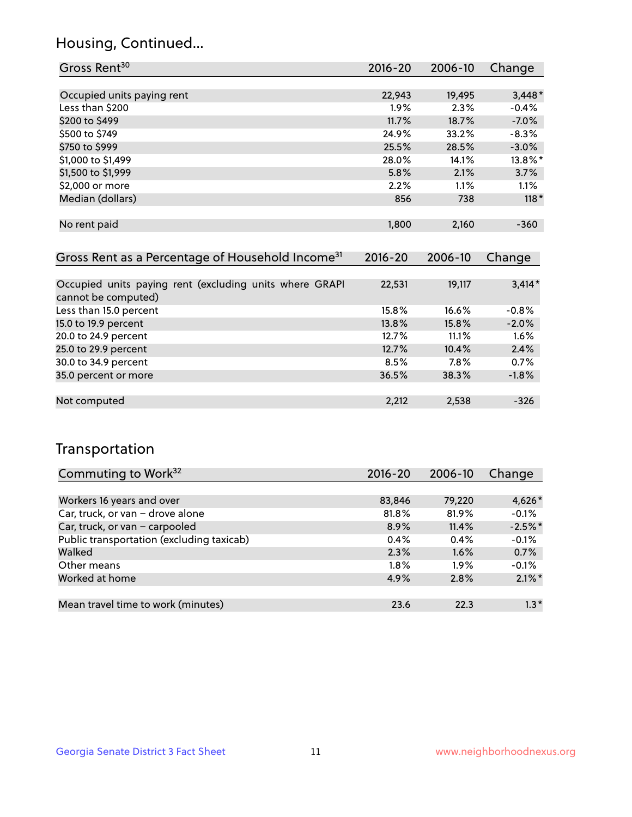## Housing, Continued...

| Gross Rent <sup>30</sup>                                     | 2016-20 | 2006-10 | Change   |
|--------------------------------------------------------------|---------|---------|----------|
|                                                              |         |         |          |
| Occupied units paying rent                                   | 22,943  | 19,495  | $3,448*$ |
| Less than \$200                                              | $1.9\%$ | 2.3%    | $-0.4%$  |
| \$200 to \$499                                               | 11.7%   | 18.7%   | $-7.0%$  |
| \$500 to \$749                                               | 24.9%   | 33.2%   | $-8.3%$  |
| \$750 to \$999                                               | 25.5%   | 28.5%   | $-3.0%$  |
| \$1,000 to \$1,499                                           | 28.0%   | 14.1%   | 13.8%*   |
| \$1,500 to \$1,999                                           | 5.8%    | 2.1%    | 3.7%     |
| \$2,000 or more                                              | 2.2%    | 1.1%    | $1.1\%$  |
| Median (dollars)                                             | 856     | 738     | $118*$   |
|                                                              |         |         |          |
| No rent paid                                                 | 1,800   | 2,160   | $-360$   |
|                                                              |         |         |          |
| Gross Rent as a Percentage of Household Income <sup>31</sup> | 2016-20 | 2006-10 | Change   |
|                                                              |         |         |          |
| Occupied units paying rent (excluding units where GRAPI      | 22,531  | 19,117  | $3,414*$ |
| cannot be computed)                                          |         |         |          |
| Less than 15.0 percent                                       | 15.8%   | 16.6%   | $-0.8%$  |
| 15.0 to 19.9 percent                                         | 13.8%   | 15.8%   | $-2.0%$  |
| 20.0 to 24.9 percent                                         | 12.7%   | 11.1%   | 1.6%     |
| 25.0 to 29.9 percent                                         | 12.7%   | 10.4%   | 2.4%     |
| 30.0 to 34.9 percent                                         | 8.5%    | 7.8%    | 0.7%     |
| 35.0 percent or more                                         | 36.5%   | 38.3%   | $-1.8%$  |
|                                                              |         |         |          |
| Not computed                                                 | 2,212   | 2,538   | $-326$   |

## Transportation

| Commuting to Work <sup>32</sup>           | 2016-20 | 2006-10 | Change    |
|-------------------------------------------|---------|---------|-----------|
|                                           |         |         |           |
| Workers 16 years and over                 | 83,846  | 79,220  | 4,626*    |
| Car, truck, or van - drove alone          | 81.8%   | 81.9%   | $-0.1%$   |
| Car, truck, or van - carpooled            | 8.9%    | 11.4%   | $-2.5%$ * |
| Public transportation (excluding taxicab) | 0.4%    | 0.4%    | $-0.1%$   |
| Walked                                    | 2.3%    | 1.6%    | 0.7%      |
| Other means                               | $1.8\%$ | $1.9\%$ | $-0.1%$   |
| Worked at home                            | 4.9%    | 2.8%    | $2.1\%$ * |
|                                           |         |         |           |
| Mean travel time to work (minutes)        | 23.6    | 22.3    | $1.3*$    |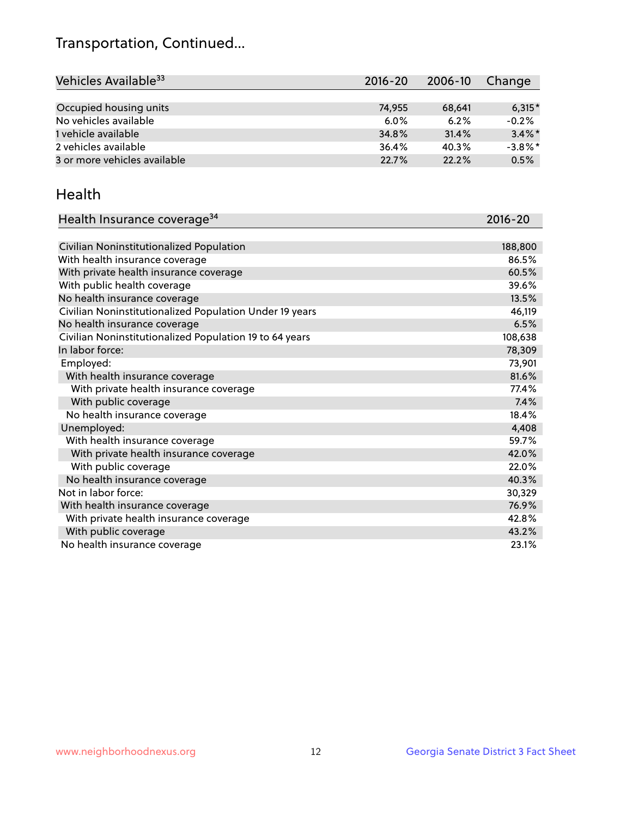## Transportation, Continued...

| Vehicles Available <sup>33</sup> | $2016 - 20$ | 2006-10 | Change     |
|----------------------------------|-------------|---------|------------|
|                                  |             |         |            |
| Occupied housing units           | 74,955      | 68,641  | $6,315*$   |
| No vehicles available            | $6.0\%$     | 6.2%    | $-0.2%$    |
| 1 vehicle available              | 34.8%       | 31.4%   | $3.4\%$ *  |
| 2 vehicles available             | 36.4%       | 40.3%   | $-3.8\%$ * |
| 3 or more vehicles available     | 22.7%       | 22.2%   | 0.5%       |

#### Health

| Health Insurance coverage <sup>34</sup>                 | 2016-20 |
|---------------------------------------------------------|---------|
|                                                         |         |
| Civilian Noninstitutionalized Population                | 188,800 |
| With health insurance coverage                          | 86.5%   |
| With private health insurance coverage                  | 60.5%   |
| With public health coverage                             | 39.6%   |
| No health insurance coverage                            | 13.5%   |
| Civilian Noninstitutionalized Population Under 19 years | 46,119  |
| No health insurance coverage                            | 6.5%    |
| Civilian Noninstitutionalized Population 19 to 64 years | 108,638 |
| In labor force:                                         | 78,309  |
| Employed:                                               | 73,901  |
| With health insurance coverage                          | 81.6%   |
| With private health insurance coverage                  | 77.4%   |
| With public coverage                                    | 7.4%    |
| No health insurance coverage                            | 18.4%   |
| Unemployed:                                             | 4,408   |
| With health insurance coverage                          | 59.7%   |
| With private health insurance coverage                  | 42.0%   |
| With public coverage                                    | 22.0%   |
| No health insurance coverage                            | 40.3%   |
| Not in labor force:                                     | 30,329  |
| With health insurance coverage                          | 76.9%   |
| With private health insurance coverage                  | 42.8%   |
| With public coverage                                    | 43.2%   |
| No health insurance coverage                            | 23.1%   |